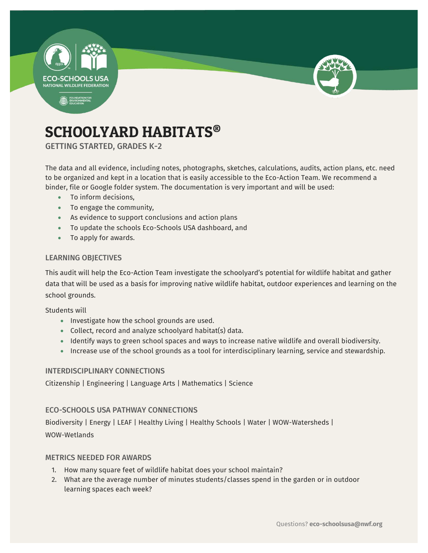



# SCHOOLYARD HABITATS®

GETTING STARTED, GRADES K-2

The data and all evidence, including notes, photographs, sketches, calculations, audits, action plans, etc. need to be organized and kept in a location that is easily accessible to the Eco-Action Team. We recommend a binder, file or Google folder system. The documentation is very important and will be used:

- To inform decisions,
- To engage the community,
- As evidence to support conclusions and action plans
- To update the schools Eco-Schools USA dashboard, and
- To apply for awards.

### LEARNING OBJECTIVES

This audit will help the Eco-Action Team investigate the schoolyard's potential for wildlife habitat and gather data that will be used as a basis for improving native wildlife habitat, outdoor experiences and learning on the school grounds.

Students will

- Investigate how the school grounds are used.
- Collect, record and analyze schoolyard habitat(s) data.
- Identify ways to green school spaces and ways to increase native wildlife and overall biodiversity.
- Increase use of the school grounds as a tool for interdisciplinary learning, service and stewardship.

### INTERDISCIPLINARY CONNECTIONS

Citizenship | Engineering | Language Arts | Mathematics | Science

### ECO-SCHOOLS USA PATHWAY CONNECTIONS

Biodiversity | Energy | LEAF | Healthy Living | Healthy Schools | Water | WOW-Watersheds | WOW-Wetlands

### METRICS NEEDED FOR AWARDS

- 1. How many square feet of wildlife habitat does your school maintain?
- 2. What are the average number of minutes students/classes spend in the garden or in outdoor learning spaces each week?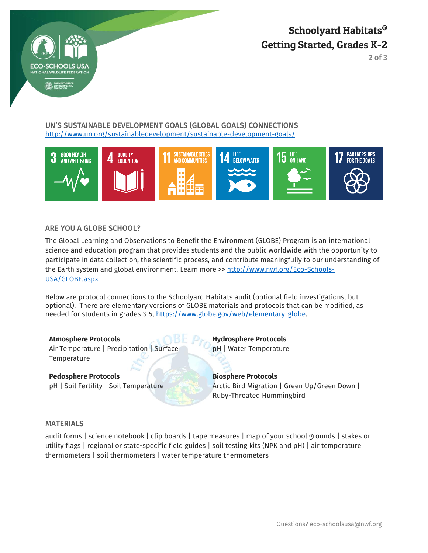

Schoolyard Habitats® Getting Started, Grades K-2

2 of 3

### UN'S SUSTAINABLE DEVELOPMENT GOALS (GLOBAL GOALS) CONNECTIONS <http://www.un.org/sustainabledevelopment/sustainable-development-goals/>



### ARE YOU A GLOBE SCHOOL?

The Global Learning and Observations to Benefit the Environment (GLOBE) Program is an international science and education program that provides students and the public worldwide with the opportunity to participate in data collection, the scientific process, and contribute meaningfully to our understanding of the Earth system and global environment. Learn more >> [http://www.nwf.org/Eco-Schools-](http://www.nwf.org/Eco-Schools-USA/GLOBE.aspx)[USA/GLOBE.aspx](http://www.nwf.org/Eco-Schools-USA/GLOBE.aspx)

Below are protocol connections to the Schoolyard Habitats audit (optional field investigations, but optional). There are elementary versions of GLOBE materials and protocols that can be modified, as needed for students in grades 3-5, https://www.globe.gov/web/elementary-globe.

Air Temperature | Precipitation | Surface Temperature

### **Pedosphere Protocols Biosphere Protocols**

**Atmosphere Protocols Hydrosphere Protocols** pH | Water Temperature

pH | Soil Fertility | Soil Temperature Arctic Bird Migration | Green Up/Green Down | Ruby-Throated Hummingbird

### MATERIALS

audit forms | science notebook | clip boards | tape measures | map of your school grounds | stakes or utility flags | regional or state-specific field guides | soil testing kits (NPK and pH) | air temperature thermometers | soil thermometers | water temperature thermometers